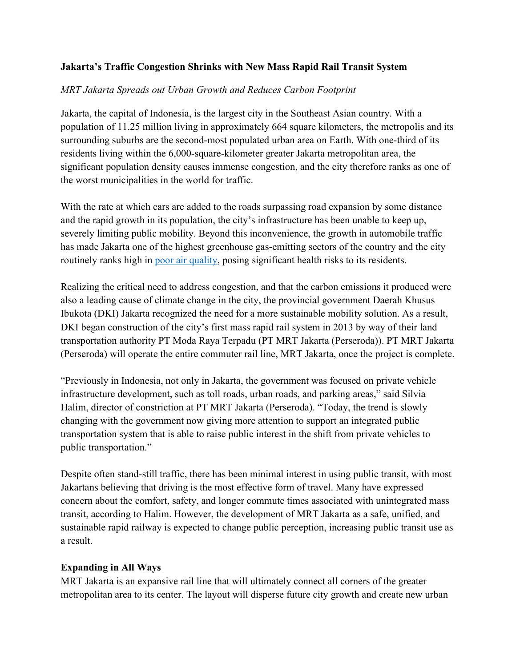### **Jakarta's Traffic Congestion Shrinks with New Mass Rapid Rail Transit System**

## *MRT Jakarta Spreads out Urban Growth and Reduces Carbon Footprint*

Jakarta, the capital of Indonesia, is the largest city in the Southeast Asian country. With a population of 11.25 million living in approximately 664 square kilometers, the metropolis and its surrounding suburbs are the second-most populated urban area on Earth. With one-third of its residents living within the 6,000-square-kilometer greater Jakarta metropolitan area, the significant population density causes immense congestion, and the city therefore ranks as one of the worst municipalities in the world for traffic.

With the rate at which cars are added to the roads surpassing road expansion by some distance and the rapid growth in its population, the city's infrastructure has been unable to keep up, severely limiting public mobility. Beyond this inconvenience, the growth in automobile traffic has made Jakarta one of the highest greenhouse gas-emitting sectors of the country and the city routinely ranks high in [poor air quality,](https://www.thejakartapost.com/news/2019/08/08/airvisual-jakarta-declared-worlds-most-polluted-city-on-thursday-afternoon.html) posing significant health risks to its residents.

Realizing the critical need to address congestion, and that the carbon emissions it produced were also a leading cause of climate change in the city, the provincial government Daerah Khusus Ibukota (DKI) Jakarta recognized the need for a more sustainable mobility solution. As a result, DKI began construction of the city's first mass rapid rail system in 2013 by way of their land transportation authority PT Moda Raya Terpadu (PT MRT Jakarta (Perseroda)). PT MRT Jakarta (Perseroda) will operate the entire commuter rail line, MRT Jakarta, once the project is complete.

"Previously in Indonesia, not only in Jakarta, the government was focused on private vehicle infrastructure development, such as toll roads, urban roads, and parking areas," said Silvia Halim, director of constriction at PT MRT Jakarta (Perseroda). "Today, the trend is slowly changing with the government now giving more attention to support an integrated public transportation system that is able to raise public interest in the shift from private vehicles to public transportation."

Despite often stand-still traffic, there has been minimal interest in using public transit, with most Jakartans believing that driving is the most effective form of travel. Many have expressed concern about the comfort, safety, and longer commute times associated with unintegrated mass transit, according to Halim. However, the development of MRT Jakarta as a safe, unified, and sustainable rapid railway is expected to change public perception, increasing public transit use as a result.

### **Expanding in All Ways**

MRT Jakarta is an expansive rail line that will ultimately connect all corners of the greater metropolitan area to its center. The layout will disperse future city growth and create new urban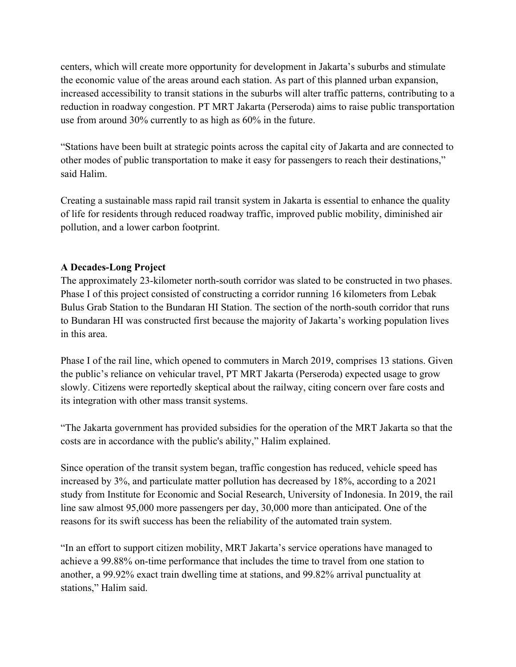centers, which will create more opportunity for development in Jakarta's suburbs and stimulate the economic value of the areas around each station. As part of this planned urban expansion, increased accessibility to transit stations in the suburbs will alter traffic patterns, contributing to a reduction in roadway congestion. PT MRT Jakarta (Perseroda) aims to raise public transportation use from around 30% currently to as high as 60% in the future.

"Stations have been built at strategic points across the capital city of Jakarta and are connected to other modes of public transportation to make it easy for passengers to reach their destinations," said Halim.

Creating a sustainable mass rapid rail transit system in Jakarta is essential to enhance the quality of life for residents through reduced roadway traffic, improved public mobility, diminished air pollution, and a lower carbon footprint.

## **A Decades-Long Project**

The approximately 23-kilometer north-south corridor was slated to be constructed in two phases. Phase I of this project consisted of constructing a corridor running 16 kilometers from Lebak Bulus Grab Station to the Bundaran HI Station. The section of the north-south corridor that runs to Bundaran HI was constructed first because the majority of Jakarta's working population lives in this area.

Phase I of the rail line, which opened to commuters in March 2019, comprises 13 stations. Given the public's reliance on vehicular travel, PT MRT Jakarta (Perseroda) expected usage to grow slowly. Citizens were reportedly skeptical about the railway, citing concern over fare costs and its integration with other mass transit systems.

"The Jakarta government has provided subsidies for the operation of the MRT Jakarta so that the costs are in accordance with the public's ability," Halim explained.

Since operation of the transit system began, traffic congestion has reduced, vehicle speed has increased by 3%, and particulate matter pollution has decreased by 18%, according to a 2021 study from Institute for Economic and Social Research, University of Indonesia. In 2019, the rail line saw almost 95,000 more passengers per day, 30,000 more than anticipated. One of the reasons for its swift success has been the reliability of the automated train system.

"In an effort to support citizen mobility, MRT Jakarta's service operations have managed to achieve a 99.88% on-time performance that includes the time to travel from one station to another, a 99.92% exact train dwelling time at stations, and 99.82% arrival punctuality at stations," Halim said.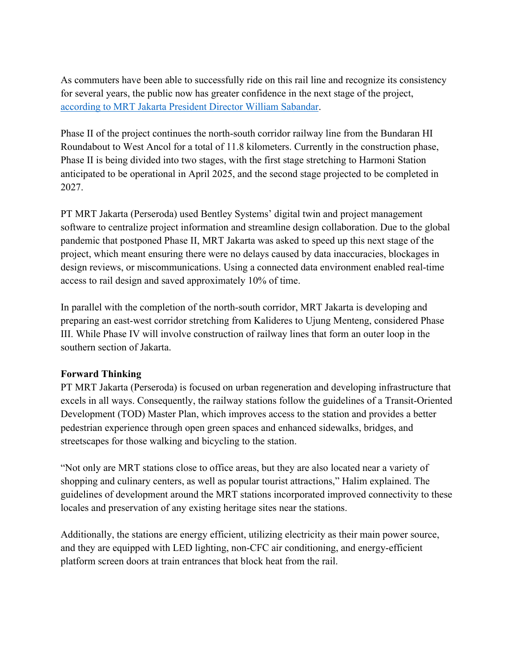As commuters have been able to successfully ride on this rail line and recognize its consistency for several years, the public now has greater confidence in the next stage of the project, [according to MRT Jakarta President Director William Sabandar.](https://www.mckinsey.com/industries/travel-logistics-and-infrastructure/our-insights/building-self-sustaining-public-transport-an-interview-with-william-sabandar-president-director-of-mrt-jakarta)

Phase II of the project continues the north-south corridor railway line from the Bundaran HI Roundabout to West Ancol for a total of 11.8 kilometers. Currently in the construction phase, Phase II is being divided into two stages, with the first stage stretching to Harmoni Station anticipated to be operational in April 2025, and the second stage projected to be completed in 2027.

PT MRT Jakarta (Perseroda) used Bentley Systems' digital twin and project management software to centralize project information and streamline design collaboration. Due to the global pandemic that postponed Phase II, MRT Jakarta was asked to speed up this next stage of the project, which meant ensuring there were no delays caused by data inaccuracies, blockages in design reviews, or miscommunications. Using a connected data environment enabled real-time access to rail design and saved approximately 10% of time.

In parallel with the completion of the north-south corridor, MRT Jakarta is developing and preparing an east-west corridor stretching from Kalideres to Ujung Menteng, considered Phase III. While Phase IV will involve construction of railway lines that form an outer loop in the southern section of Jakarta.

### **Forward Thinking**

PT MRT Jakarta (Perseroda) is focused on urban regeneration and developing infrastructure that excels in all ways. Consequently, the railway stations follow the guidelines of a Transit-Oriented Development (TOD) Master Plan, which improves access to the station and provides a better pedestrian experience through open green spaces and enhanced sidewalks, bridges, and streetscapes for those walking and bicycling to the station.

"Not only are MRT stations close to office areas, but they are also located near a variety of shopping and culinary centers, as well as popular tourist attractions," Halim explained. The guidelines of development around the MRT stations incorporated improved connectivity to these locales and preservation of any existing heritage sites near the stations.

Additionally, the stations are energy efficient, utilizing electricity as their main power source, and they are equipped with LED lighting, non-CFC air conditioning, and energy-efficient platform screen doors at train entrances that block heat from the rail.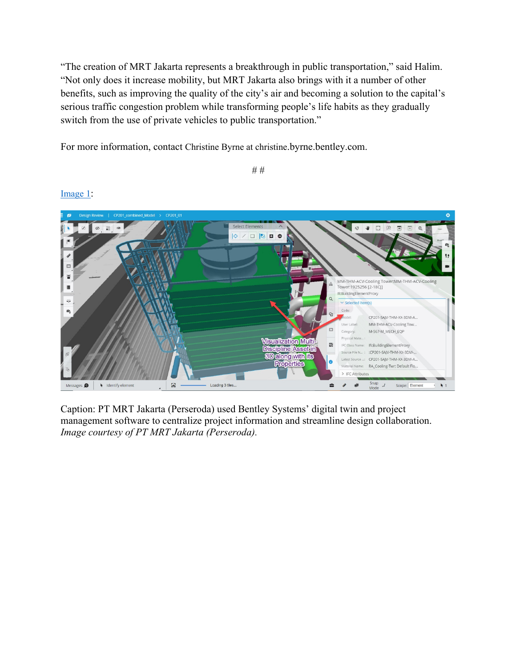"The creation of MRT Jakarta represents a breakthrough in public transportation," said Halim. "Not only does it increase mobility, but MRT Jakarta also brings with it a number of other benefits, such as improving the quality of the city's air and becoming a solution to the capital's serious traffic congestion problem while transforming people's life habits as they gradually switch from the use of private vehicles to public transportation."

*# #*

For more information, contact Christine Byrne at christine.byrne.bentley.com.

 $\infty$  $\frac{1}{2}$ W.  $\Box$  $\mathbb{R}$  $\begin{array}{c|c|c|c|c|c} \hline \circ & \circ & \circ & \circ \end{array}$ MM-THM-ACV-Cooling Tower:MM-THM-ACV-Cooling<br>Tower:1925256 [2-18C]] IfcBuildingElementProxy Selected Item(s) CP201-SAJV-THM-XX-3DM-A. MM-THM-ACV-Cooling Tow..  $\mathbb{C}^n$ M-567-M\_MECH\_EQP Category: Physical Mate. **Wisualization Multi-** $\overline{Q}$ IFC Class Name: IfcBuildingElementProxy **Discipline Assettin** Source File N...: : :CP201-SAJV-THM-XX-3DM-... SD clong with lis CP201-SAJV-THM-XX-3DM-A. Latest Source. Properties RA\_Cooling-Twr; Default Flo. > IFC Attributes  $\blacksquare$ Loading 3 tiles Snap<br>Mode Scope: Element  $\ddot{\phantom{1}}$  $\bullet$ ages **O**  $\blacklozenge$  Identify element

Caption: PT MRT Jakarta (Perseroda) used Bentley Systems' digital twin and project management software to centralize project information and streamline design collaboration. *Image courtesy of PT MRT Jakarta (Perseroda).*

[Image 1:](https://www.bentley.com/-/media/Images/Press%20Release%20Images/2022/MRT%20Jakarta%20Phase%20II%201)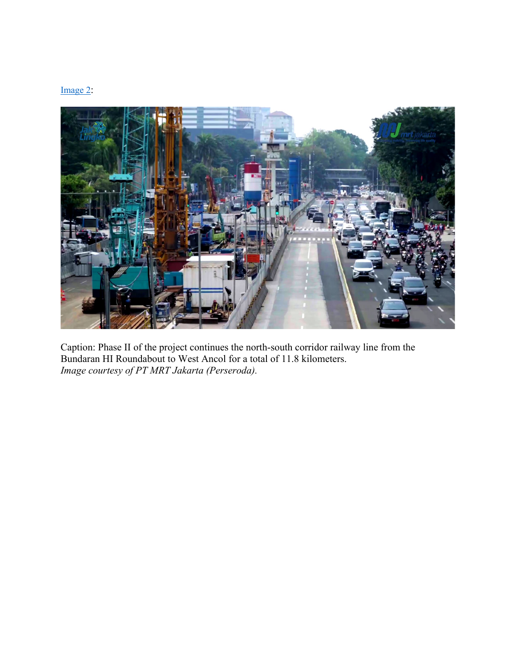#### [Image 2:](https://www.bentley.com/-/media/Images/Press%20Release%20Images/2022/MRT%20Jakarta%20Phase%20II%202)



Caption: Phase II of the project continues the north-south corridor railway line from the Bundaran HI Roundabout to West Ancol for a total of 11.8 kilometers. *Image courtesy of PT MRT Jakarta (Perseroda).*